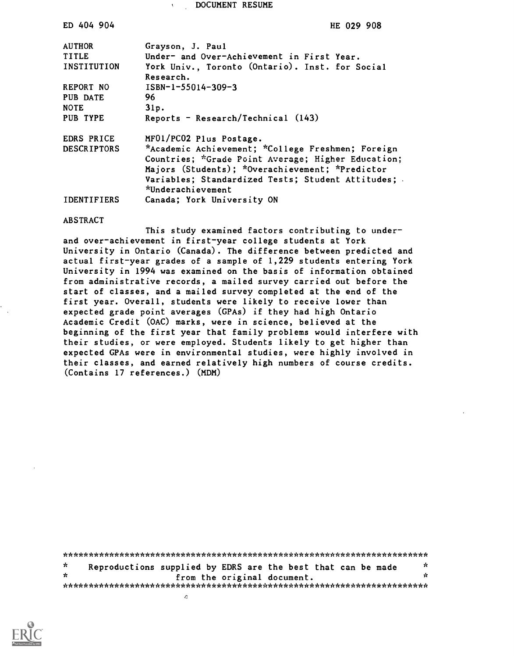DOCUMENT RESUME

| ED 404 904         | HE 029 908                                         |
|--------------------|----------------------------------------------------|
| <b>AUTHOR</b>      | Grayson, J. Paul                                   |
| <b>TITLE</b>       | Under- and Over-Achievement in First Year.         |
| INSTITUTION        | York Univ., Toronto (Ontario). Inst. for Social    |
|                    | Research.                                          |
| REPORT NO          | $ISBN-1-55014-309-3$                               |
| PUB DATE           | 96                                                 |
| <b>NOTE</b>        | 31p.                                               |
| PUB TYPE           | Reports - Research/Technical $(143)$               |
| EDRS PRICE         | MF01/PC02 Plus Postage.                            |
| <b>DESCRIPTORS</b> | *Academic Achievement; *College Freshmen; Foreign  |
|                    | Countries; *Grade Point Average; Higher Education; |
|                    | Majors (Students); *Overachievement; *Predictor    |
|                    | Variables; Standardized Tests; Student Attitudes;  |
|                    | *Underachievement                                  |
| <b>IDENTIFIERS</b> | Canada; York University ON                         |
|                    |                                                    |

#### ABSTRACT

This study examined factors contributing to underand over-achievement in first-year college students at York University in Ontario (Canada). The difference between predicted and actual first-year grades of a sample of 1,229 students entering York University in 1994 was examined on the basis of information obtained from administrative records, a mailed survey carried out before the start of classes, and a mailed survey completed at the end of the first year. Overall, students were likely to receive lower than expected grade point averages (GPAs) if they had high Ontario Academic Credit (OAC) marks, were in science, believed at the beginning of the first year that family problems would interfere with their studies, or were employed. Students likely to get higher than expected GPAs were in environmental studies, were highly involved in their classes, and earned relatively high numbers of course credits. (Contains 17 references.) (MDM)

| $\star$ | Reproductions supplied by EDRS are the best that can be made | - se |
|---------|--------------------------------------------------------------|------|
| ÷       | from the original document.                                  | эx   |
|         |                                                              |      |
|         |                                                              |      |

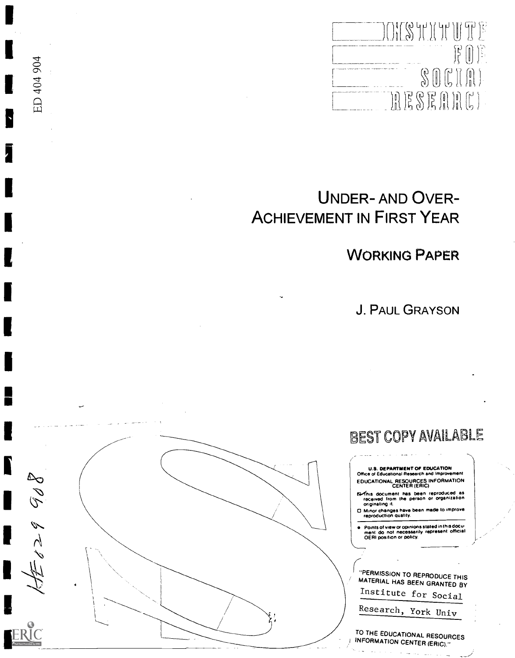OKSHIHUTE  $\begin{picture}(20,20) \put(0,0){\line(0,1){10}} \put(15,0){\line(0,1){10}} \put(15,0){\line(0,1){10}} \put(15,0){\line(0,1){10}} \put(15,0){\line(0,1){10}} \put(15,0){\line(0,1){10}} \put(15,0){\line(0,1){10}} \put(15,0){\line(0,1){10}} \put(15,0){\line(0,1){10}} \put(15,0){\line(0,1){10}} \put(15,0){\line(0,1){10}} \put(15,0){\line(0$  $\textstyle\textcolor{blue}{\text{S0}} \textcolor{blue}{\text{C}} \textcolor{blue}{\text{R}} \textcolor{blue}{\text{R}}$ RESERRE)

# UNDER- AND OVER-ACHIEVEMENT IN FIRST YEAR

WORKING PAPER

J. PAUL GRAYSON



ED 404 904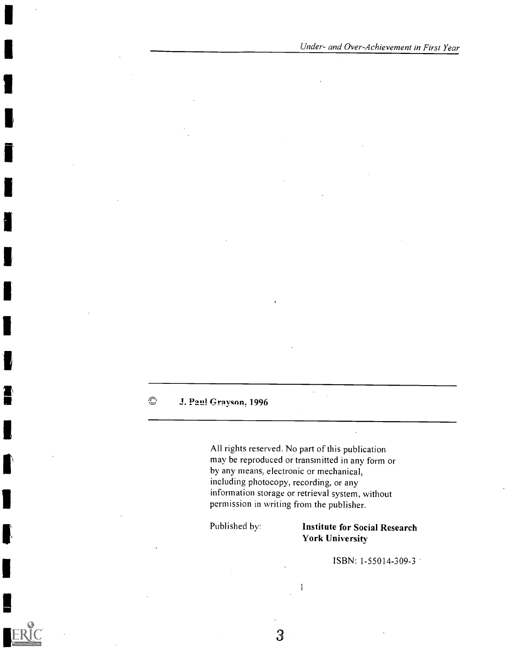#### $\odot$ J. Paul Grayson, 1996

All rights reserved. No part of this publication may be reproduced or transmitted in any form or by any means, electronic or mechanical, including, photocopy, recording, or any information storage or retrieval. system, without permission in writing from the publisher.

 $\ddot{\phantom{a}}$ 

1

#### Published by: Institute for Social Research York University

ISBN: 1-55014-309-3

 $\overline{3}$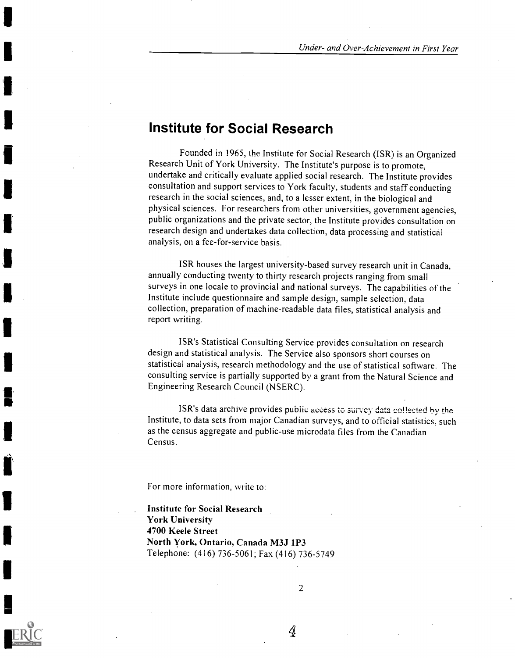### Institute for Social Research

Founded in 1965, the Institute for Social Research (ISR) is an Organized Research Unit of York University. The Institute's purpose is to promote, undertake and critically evaluate applied social research. The Institute provides consultation and support services to York faculty, students and staff conducting research in the social sciences, and, to a lesser extent, in the biological and physical sciences. For researchers from other universities, government agencies, public organizations and the private sector, the Institute provides consultation on research design and undertakes data collection, data processing and statistical analysis, on a fee-for-service basis.

ISR houses the largest university-based survey research unit in Canada, annually conducting twenty to thirty research projects ranging from small surveys in one locale to provincial and national surveys. The capabilities of the Institute include questionnaire and sample design, sample selection, data collection, preparation of machine-readable data files, statistical analysis and report writing.

ISR's Statistical Consulting Service provides consultation on research design and statistical analysis. The Service also sponsors short courses on statistical analysis, research methodology and the use of statistical software. The consulting service is partially supported by a grant from the Natural Science and Engineering Research Council (NSERC).

ISR's data archive provides public access to surycy data collected by the Institute, to data sets from major Canadian surveys, and to official statistics, such as the census aggregate and public-use microdata files from the Canadian Census.

For more information, write to:

Institute for Social Research York University 4700 Keele Street North York, Ontario, Canada M3J 1P3 Telephone: (416) 736-5061; Fax (416) 736-5749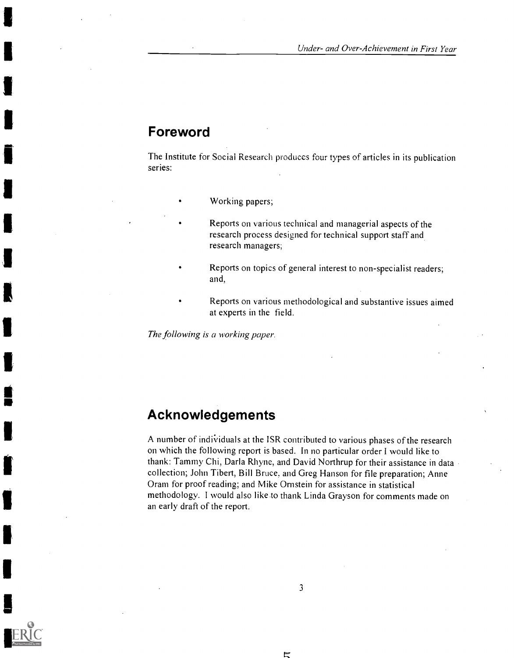### Foreword

The Institute for Social Research produces four types of articles in its publication series:

- Working papers;
- Reports on various technical and managerial aspects of the research process designed for technical support staff and research managers;
- Reports on topics of general interest to non-specialist readers; and,
- Reports on various methodological and substantive issues aimed at experts in the field.

The following is a working paper.

### Acknowledgements

A number of individuals at the ISR contributed to various phases of the research on which the following report is based. In no particular order I would like to thank: Tammy Chi, Darla Rhyne, and David Northrup for their assistance in data collection; John Tibert, Bill Bruce, and Greg Hanson for file preparation; Anne Oram for proof reading; and Mike Ornstein for assistance in statistical methodology. I would also like to thank Linda Grayson for comments made on an early draft of the report.

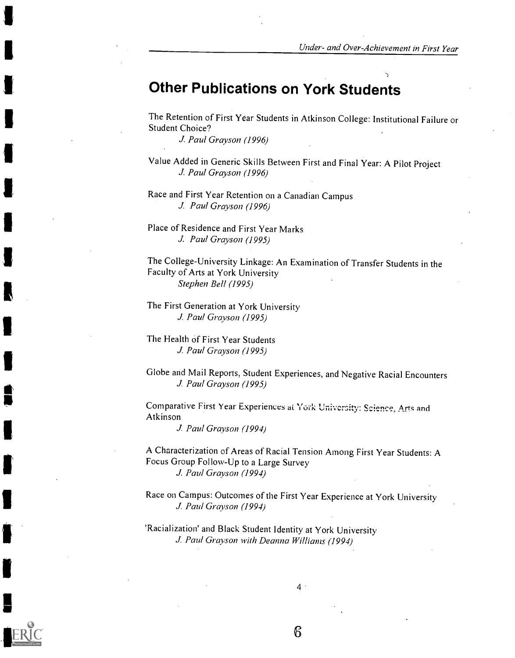# Other Publications on York Students

The Retention of First Year Students in Atkinson College: Institutional Failure or Student Choice?

J. Paul Grayson (1996)

Value Added in Generic Skills Between First and Final Year: A Pilot Project J. Paul Grayson (1996)

Race and First Year Retention on a Canadian Campus J. Paul Grayson (1996)

Place of Residence and First Year Marks J. Paul Grayson (1995)

The College-University Linkage: An Examination of Transfer Students in the Faculty of Arts at York University Stephen Bell (1995)

The First Generation at York University J. Paul Grayson (1995)

The Health of First Year Students J. Paul Grayson (1995)

Globe and Mail Reports, Student Experiences, and Negative Racial Encounters J. Paul Grayson (1995)

Comparative First Year Experiences at York University: Science, Arts and Atkinson

J. Paul Grayson (1994)

A Characterization of Areas of Racial Tension Among First Year Students: A Focus Group Follow-Up to a Large Survey J. Paul Grayson (1994)

Race on Campus: Outcomes of the First Year Experience at York University J. Paul Grayson (1994)

'Racialization' and Black Student Identity at York University J. Paul Grayson with Deanna Williams (1994)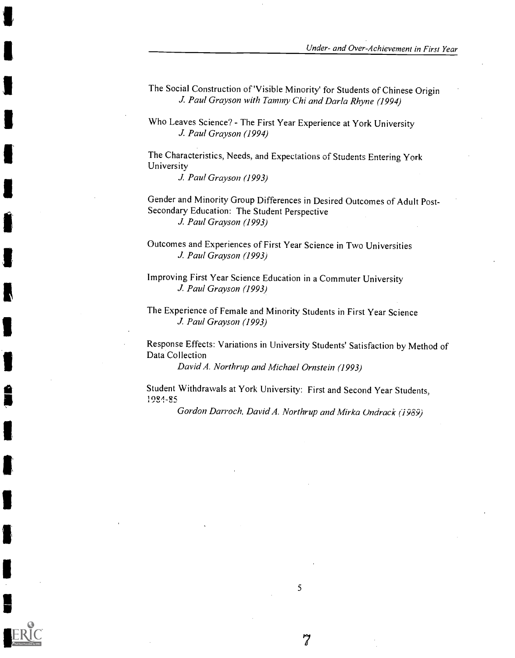The Social Construction of 'Visible Minority' for Students of Chinese Origin J. Paul Grayson with Tammy Chi and Darla Rhyne (1994)

Who Leaves Science? - The First Year Experience at York University J. Paul Grayson (1994)

The Characteristics, Needs, and Expectations of Students Entering York University

J. Paul Grayson (1993)

 $\blacksquare$ 

Gender and Minority Group Differences in Desired Outcomes of Adult Post-Secondary Education: The Student Perspective J. Paul Grayson (1993)

Outcomes and Experiences of First Year Science in Two Universities J. Paul Grayson (1993)

Improving First Year Science Education in a Commuter University J. Paul Grayson (1993)

The Experience of Female and Minority Students in First Year Science J. Paul Grayson (1993)

Response Effects: Variations in University Students' Satisfaction by Method of Data Collection

David A. Northrup and Michael Ornstein (1993)

Student Withdrawals at York University: First and Second Year Students, 1981-9c

Gordon Darroch, David A. Northrup and Mirka Undrack (1989)

5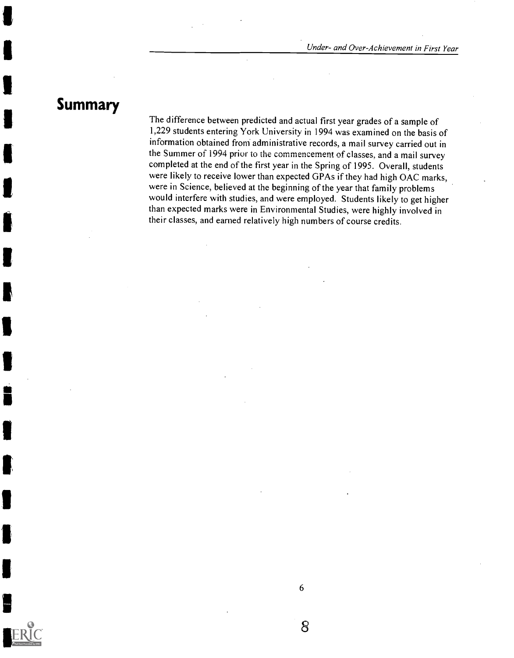# Summary

in a complete and the second series of the series of the series of the series of the series of the series of the series of the series of the series of the series of the series of the series of the series of the series of t

The difference between predicted and actual first year grades of a sample of 1,229 students entering York University in 1994 was examined on the basis of information obtained from administrative records, a mail survey carried out in the Summer of 1994 prior to the commencement of classes, and a mail survey completed at the end of the first year in the Spring of 1995. Overall, students were likely to receive lower than expected GPAs if they had high OAC marks, were in Science, believed at the beginning of the year that family problems would interfere with studies, and were employed. Students likely to get higher than expected marks were in Environmental Studies, were highly involved in their classes, and earned relatively high numbers of course credits.

6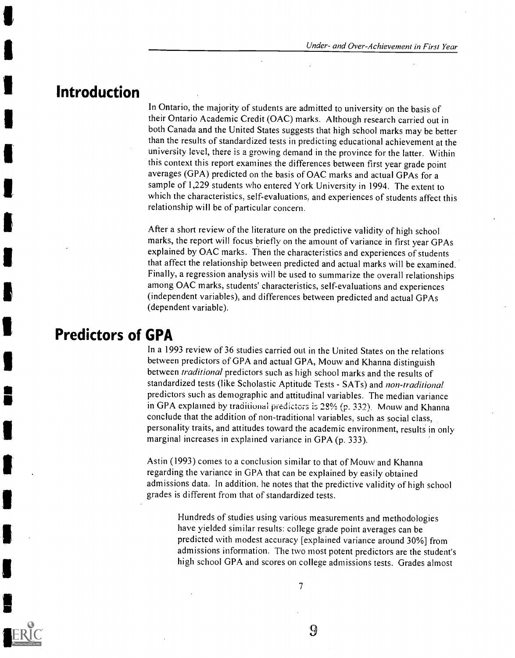### Introduction

In Ontario, the majority of students are admitted to university on the basis of their Ontario Academic Credit (OAC) marks. Although research carried out in both Canada and the United States suggests that high school marks may be better than the results of standardized tests in predicting educational achievement at the university level, there is a growing demand in the province for the latter. Within this context this report examines the differences between first year grade point averages (GPA) predicted on the basis of OAC marks and actual GPAs for a sample of 1,229 students who entered York University in 1994. The extent to which the characteristics, self-evaluations, and experiences of students affect this relationship will be of particular concern.

After a short review of the literature on the predictive validity of high school marks, the report will focus briefly on the amount of variance in first year GPAs explained by OAC marks. Then the characteristics and experiences of students that affect the relationship between predicted and actual marks will be examined. Finally, a regression analysis will be used to summarize the overall relationships among OAC marks, students' characteristics, self-evaluations and experiences (independent variables), and differences between predicted and actual GPAs (dependent variable).

### Predictors of GPA

In a 1993 review of 36 studies carried out in the United States on the relations between predictors of GPA and actual GPA, Mouw and Khanna distinguish between *traditional* predictors such as high school marks and the results of standardized tests (like Scholastic Aptitude Tests - SATs) and non-traditional predictors such as demographic and attitudinal variables. The median variance in GPA explained by traditional predictors is 28% (p. 332). Mouw and Khanna conclude that the addition of non-traditional variables, such as social class, personality traits, and attitudes toward the academic environment, results in only marginal increases in explained variance in GPA (p. 333).

Astin (1993) comes to a conclusion similar to that of Mouw and Khanna regarding the variance in GPA that can be explained by easily obtained admissions data. In addition. he notes that the predictive validity of high school grades is different from that of standardized tests.

> Hundreds of studies using various measurements and methodologies have yielded similar results: college grade point averages can be predicted with modest accuracy [explained variance around 30%] from admissions information. The two most potent predictors are the student's high school GPA and scores on college admissions tests. Grades almost

 $\boldsymbol{Q}$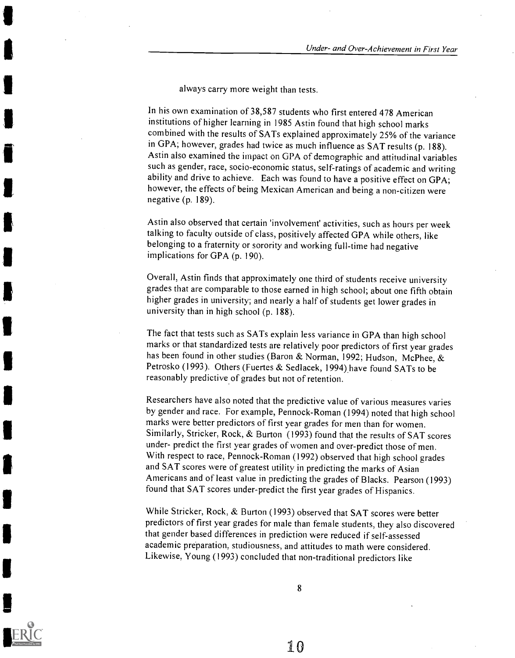always carry more weight than tests.

In his own examination of 38,587 students who first entered 478 American institutions of higher learning in 1985 Astin found that high school marks combined with the results of SATs explained approximately 25% of the variance in GPA; however, grades had twice as much influence as SAT results (p. 188). Astin also examined the impact on GPA of demographic and attitudinal variables such as gender, race, socio-economic status, self-ratings of academic and writing ability and drive to achieve. Each was found to have a positive effect on GPA; however, the effects of being Mexican American and being a non-citizen were negative (p. 189).

Astin also observed that certain 'involvement' activities, such as hours per week talking to faculty outside of class, positively affected GPA while others, like belonging to a fraternity or sorority and working full-time had negative implications for GPA (p. 190).

Overall, Astin finds that approximately one third of students receive university grades that are comparable to those earned in high school; about one fifth obtain higher grades in university; and nearly a half of students get lower grades in university than in high school (p. 188).

The fact that tests such as SATs explain less variance in GPA than high school marks or that standardized tests are relatively poor predictors of first year grades has been found in other studies (Baron & Norman, 1992; Hudson, McPhee, & Petrosko (1993). Others (Fuertes & Sedlacek, 1994) have found SATs to be reasonably predictive of grades but not of retention.

Researchers have also noted that the predictive value of various measures varies by gender and race. For example, Pennock-Roman (1994) noted that high school marks were better predictors of first year grades for men than for women. Similarly, Stricker, Rock, & Burton (1993) found that the results of SAT scores under- predict the first year grades of women and over-predict those of men. With respect to race, Pennock-Roman (1992) observed that high school grades and SAT scores were of greatest utility in predicting the marks of Asian Americans and of least value in predicting the grades of Blacks. Pearson (1993) found that SAT scores under-predict the first year grades of Hispanics.

While Stricker, Rock, & Burton (1993) observed that SAT scores were better predictors of first year grades for male than female students, they also discovered that gender based differences in prediction were reduced if self-assessed academic preparation, studiousness, and attitudes to math were considered. Likewise, Young (1993) concluded that non-traditional predictors like

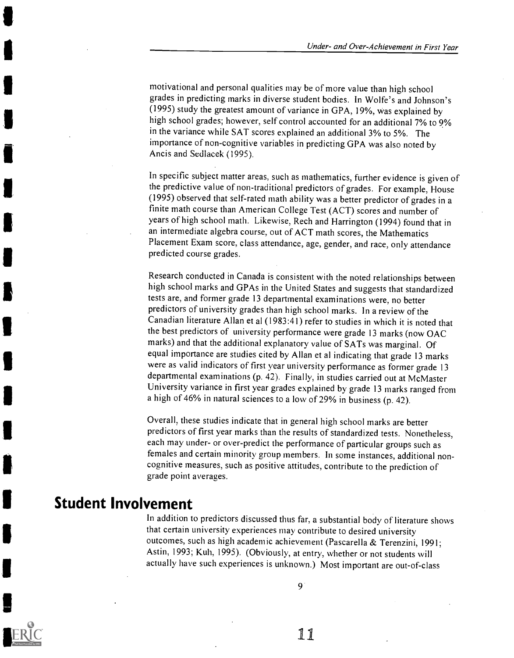motivational and personal qualities may be of more value than high school grades in predicting marks in diverse student bodies. In Wolfe's and Johnson's (1995) study the greatest amount of variance in GPA, 19%, was explained by high school grades; however, self control accounted for an additional 7% to 9% in the variance while SAT scores explained an additional 3% to 5%. The importance of non-cognitive variables in predicting GPA was also noted by Ancis and Sedlacek (1995).

In specific subject matter areas, such as mathematics, further evidence is given of the predictive value of non-traditional predictors of grades. For example, House (1995) observed that self-rated math ability was a better predictor of grades in a finite math course than American College Test (ACT) scores and number of years of high school math. Likewise, Rech and Harrington (1994) found that in an intermediate algebra course, out of ACT math scores, the Mathematics Placement Exam score, class attendance, age, gender, and race, only attendance predicted course grades.

Research conducted in Canada is consistent with the noted relationships between high school marks and GPAs in the United States and suggests that standardized tests are, and former grade 13 departmental examinations were, no better predictors of university grades than high school marks. In a review of the Canadian literature Allan et al (1983:41) refer to studies in which it is noted that the best predictors of university performance were grade 13 marks (now OAC marks) and that the additional explanatory value of SATs was marginal. Of equal importance are studies cited by Allan et al indicating that grade 13 marks were as valid indicators of first year university performance as former grade 13 departmental examinations (p. 42). Finally, in studies carried out at McMaster University variance in first year grades explained by grade 13 marks ranged from a high of 46% in natural sciences to a low of 29% in business (p. 42).

Overall, these studies indicate that in general high school marks are better predictors of first year marks than the results of standardized tests. Nonetheless, each may under- or over-predict the performance of particular groups such as females and certain minority group members. In some instances, additional noncognitive measures, such as positive attitudes, contribute to the prediction of grade point averages.

# Student Involvement

In addition to predictors discussed thus far, a substantial body of literature shows that certain university experiences may contribute to desired university outcomes, such as high academic achievement (Pascarella & Terenzini, 1991; Astin, 1993; Kuh, 1995). (Obviously, at entry, whether or not students will actually have such experiences is unknown.) Most important are out-of-class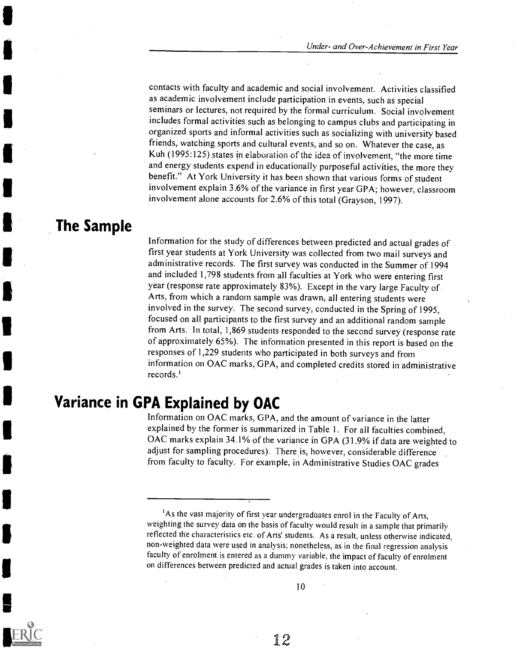contacts with faculty and academic and social involvement. Activities classified as academic involvement include participation in events, such as special seminars or lectures, not required by the formal curriculum. Social involvement includes formal activities such as belonging to campus clubs and participating in organized sports and informal activities such as socializing with university based friends, watching sports and cultural events, and so on. Whatever the case, as Kuh (1995:125) states in elaboration of the idea of involvement, "the more time and energy students expend in educationally purposeful activities, the more they benefit." At York University it has been shown that various forms of student involvement explain 3.6% of the variance in first year GPA; however, classroom involvement alone accounts for 2.6% of this total (Grayson, 1997).

# The Sample

**I** 

**111** 

Information for the study of differences between predicted and actual grades of first year students at York University was collected from two mail surveys and administrative records. The first survey was conducted in the Summer of 1994 and included 1,798 students from all faculties at York who were entering first year (response rate approximately 83%). Except in the vary large Faculty of Arts, from which a random sample was drawn, all entering students were involved in the survey. The second survey, conducted in the Spring of 1995, focused on all participants to the first survey and an additional random sample from Arts. In total, 1,869 students responded to the second survey (response rate of approximately 65%). The information presented in this report is based on the responses of 1,229 students who participated in both surveys and from information on OAC marks, GPA, and completed credits stored in administrative records.'

# Variance in GPA Explained by OAC

Information on OAC marks, GPA, and the amount of variance in the latter explained by the former is summarized in Table 1. For all faculties combined, OAC marks explain 34.1% of the variance in GPA (31.9% if data are weighted to adjust for sampling procedures). There is, however, considerable difference from faculty to faculty. For example, in Administrative Studies OAC grades

<sup>&</sup>lt;sup>1</sup>As the vast majority of first year undergraduates enrol in the Faculty of Arts, weighting the survey data on the basis of faculty would result in a sample that primarily reflected the characteristics etc. of Arts' students. As a result, unless otherwise indicated, non-weighted data were used in analysis; nonetheless, as in the final regression analysis faculty of enrolment is entered as a dummy variable, the impact of faculty of enrolment on differences between predicted and actual grades is taken into account.

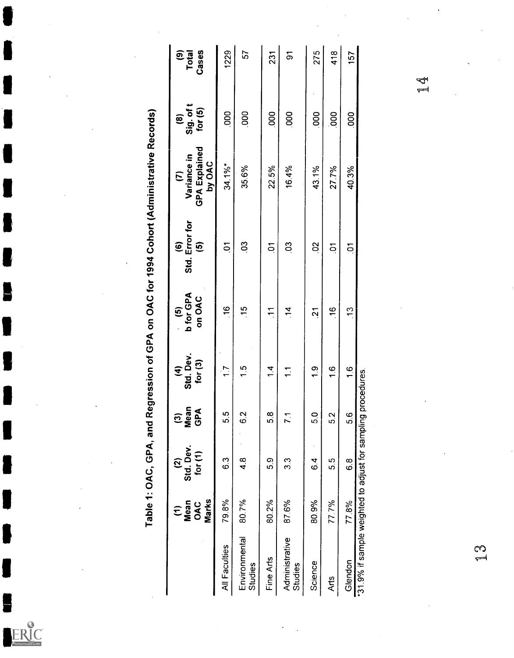| <b>Total</b><br>Cases<br>ම                                                                                                                               | 1229           | 57                       | 231            | $\overline{5}$            | 275             | 418              | 157                                                                     | 14<br>14 |        |
|----------------------------------------------------------------------------------------------------------------------------------------------------------|----------------|--------------------------|----------------|---------------------------|-----------------|------------------|-------------------------------------------------------------------------|----------|--------|
| Sig. of t<br>for (5)<br>©                                                                                                                                | 000            | 000                      | 000            | 000                       | $\cdot$<br>000  | $\overline{000}$ | 000                                                                     |          |        |
| Table 1: OAC, GPA, and Regression of GPA on OAC for 1994 Cohort (Administrative Records)<br><b>GPA Explained</b><br>Variance in<br>by OAC<br>$\tilde{c}$ | $34.1\%$ *     | 35.6%                    | 22.5%          | 16.4%                     | 43.1%           | 27.7%            | 40.3%                                                                   |          |        |
| Std. Error for<br>$\widehat{\mathbf{e}}$<br>$\overline{6}$<br>$\bullet$                                                                                  | $\overline{5}$ | $\overline{0}$           | $\overline{5}$ | $\mathbf{S}$              | $\mathbf{S}$    | $\overline{a}$   | $\overline{a}$                                                          |          |        |
| <b>b</b> for GPA<br>on OAC<br>$\widehat{\mathbf{e}}$                                                                                                     | 16             | $-15$                    | $\overline{1}$ | $\overline{1}$            | $\overline{21}$ | $\frac{6}{5}$    | $\frac{3}{2}$                                                           |          |        |
| $(4)$<br>Std. Dev.<br>for $(3)$                                                                                                                          | $\frac{1}{1}$  | 1.5                      | 1.4            | $\overline{1}$            | $\frac{0}{1}$   | 1,6              | 1,6                                                                     |          |        |
| Mean<br>GPA<br>$\widehat{\mathbf{c}}$                                                                                                                    | 5.5            | 62                       | 5.8            | 71                        | 5.0             | 5.2              | 5.6                                                                     |          |        |
| $(2)$<br>Std. Dev.<br>for $(1)$                                                                                                                          | 63             | 4.8                      | 5.9            | $3.\overline{3}$          | $\cdot$<br>64   | 5.5              | 6.8                                                                     |          |        |
| Marks<br>Mean<br>OAC<br>$\widehat{\tau}$                                                                                                                 | 79.8%          | 80.7%                    | 80.2%          | 87.6%                     | 80.9%           | 77.7%            | 77.8%                                                                   |          |        |
|                                                                                                                                                          | All Faculties  | Environmental<br>Studies | Fine Arts      | Administrative<br>Studies | Science         | Arts             | *31.9% if sample weighted to adjust for sampling procedures.<br>Glendon |          | S<br>L |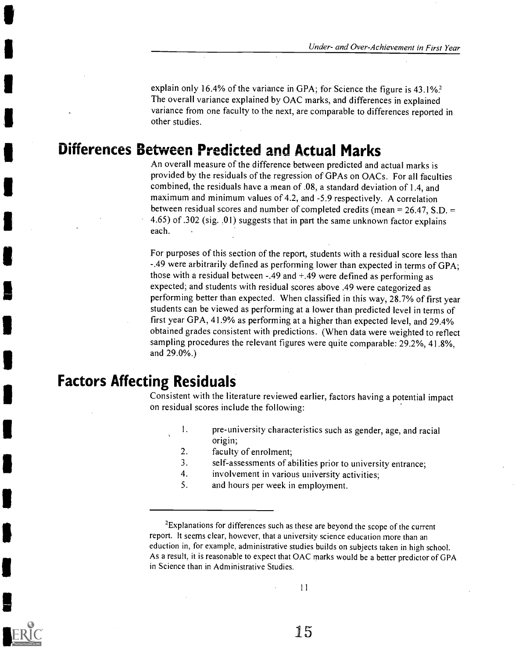explain only 16.4% of the variance in GPA; for Science the figure is 43.1%? The overall variance explained by OAC marks, and differences in explained variance from one faculty to the next, are comparable to differences reported in other studies.

# Differences Between Predicted and Actual Marks

An overall measure of the difference between predicted and actual marks is provided by the residuals of the regression of GPAs on OACs. For all faculties combined, the residuals have a mean of .08, a standard deviation of 1.4, and maximum and minimum values of 4.2, and -5.9 respectively. A correlation between residual scores and number of completed credits (mean  $= 26.47$ , S.D.  $=$ 4.65) of .302 (sig. .01) suggests that in part the same unknown factor explains each.

For purposes of this section of the report, students with a residual score less than -.49 were arbitrarily defined as performing lower than expected in terms of GPA; those with a residual between -.49 and +.49 were defined as performing as expected; and students with residual scores above .49 were categorized as performing better than expected. When classified in this way, 28.7% of first year students can be viewed as performing at a lower than predicted level in terms of first year GPA, 41.9% as performing at a higher than expected level, and 29.4% obtained grades consistent with predictions. (When data were weighted to reflect sampling procedures the relevant figures were quite comparable: 29.2%, 41.8%, and 29.0%.)

### Factors Affecting Residuals

Consistent with the literature reviewed earlier, factors having a potential impact on residual scores include the following:

- I. pre-university characteristics such as gender, age, and racial origin;
	- 2. faculty of enrolment;
- 3. self-assessments of abilities prior to university entrance;<br>4. involvement in various university activities:
- involvement in various university activities;
- 5. and hours per week in employment.



<sup>&</sup>lt;sup>2</sup>Explanations for differences such as these are beyond the scope of the current report. It seems clear, however, that a university science education more than an eduction in, for example, administrative studies builds on subjects taken in high school. As a result, it is reasonable to expect that OAC marks would be a better predictor of GPA in Science than in Administrative Studies.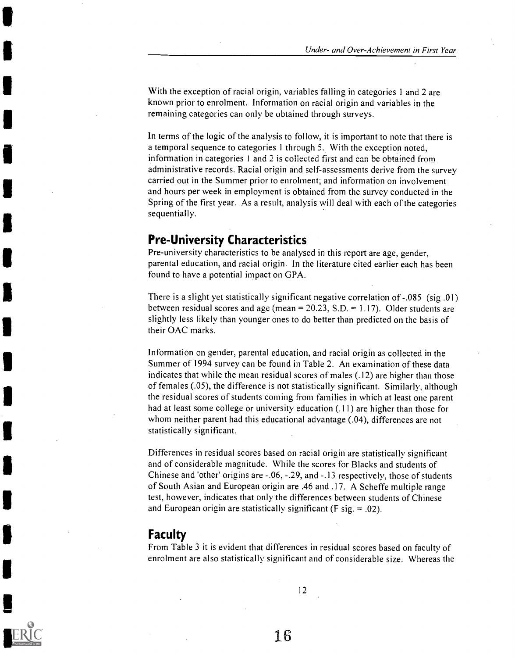With the exception of racial origin, variables falling in categories 1 and 2 are known prior to enrolment. Information on racial origin and variables in the remaining categories can only be obtained through surveys.

In terms of the logic of the analysis to follow, it is important to note that there is a temporal sequence to categories 1 through 5. With the exception noted, information in categories 1 and 2 is collected first and can be obtained from administrative records. Racial origin and self-assessments derive from the survey carried out in the Summer prior to enrolment; and information on involvement and hours per week in employment is obtained from the survey conducted in the Spring of the first year. As a result, analysis will deal with each of the categories sequentially.

### Pre-University Characteristics

Pre-university characteristics to be analysed in this report are age, gender, parental education, and racial origin. In the literature cited earlier each has been found to have a potential impact on GPA.

There is a slight yet statistically significant negative correlation of -.085 (sig .01) between residual scores and age (mean =  $20.23$ , S.D. = 1.17). Older students are slightly less likely than younger ones to do better than predicted on the basis of their OAC marks.

Information on gender, parental education, and racial origin as collected in the Summer of 1994 survey can be found in Table 2. An examination of these data indicates that while the mean residual scores of males (.12) are higher than those of females (.05), the difference is not statistically significant. Similarly, although the residual scores of students coming from families in which at least one parent had at least some college or university education (.11) are higher than those for whom neither parent had this educational advantage (.04), differences are not statistically significant.

Differences in residual scores based on racial origin are statistically significant and of considerable magnitude. While the scores for Blacks and students of Chinese and 'other' origins are -.06, -.29, and -.13 respectively, those of students of South Asian and European origin are .46 and .17. A Scheffe multiple range test, however, indicates that only the differences between students of Chinese and European origin are statistically significant ( $F$  sig. = .02).

#### Faculty

From Table 3 it is evident that differences in residual scores based on faculty of enrolment are also statistically significant and of considerable size. Whereas the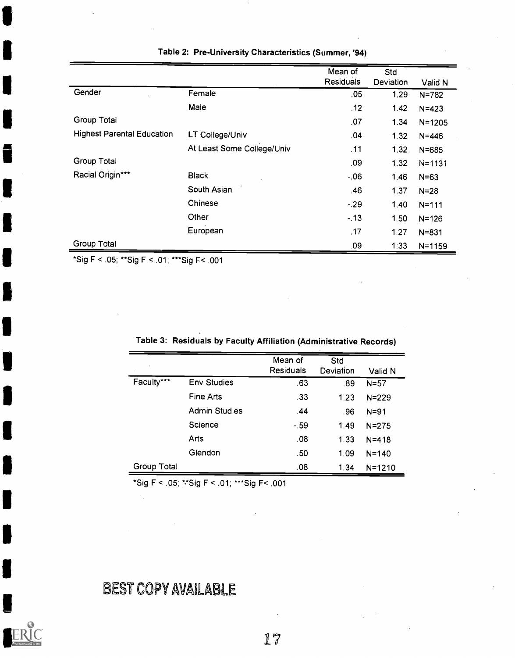|                                   |                            | Mean of          | Std       |            |
|-----------------------------------|----------------------------|------------------|-----------|------------|
|                                   |                            | <b>Residuals</b> | Deviation | Valid N    |
| Gender                            | Female                     | .05              | 1.29      | $N = 782$  |
|                                   | Male                       | .12              | 1.42      | $N = 423$  |
| Group Total                       |                            | .07              | 1.34      | $N = 1205$ |
| <b>Highest Parental Education</b> | LT College/Univ            | .04              | 1.32      | $N = 446$  |
|                                   | At Least Some College/Univ | .11              | 1.32      | $N = 685$  |
| Group Total                       |                            | .09              | 1.32      | $N = 1131$ |
| Racial Origin***                  | <b>Black</b>               | $-06$            | 1.46      | $N = 63$   |
|                                   | South Asian                | .46              | 1.37      | $N = 28$   |
|                                   | Chinese                    | $-29$            | 1.40      | $N = 111$  |
|                                   | Other                      | $-13$            | 1.50      | $N = 126$  |
|                                   | European                   | .17              | 1.27      | $N = 831$  |
| Group Total                       |                            | .09              | 1:33      | $N = 1159$ |

Table 2: Pre-University Characteristics (Summer, '94)

\*Sig F < .05; \*\*Sig F < .01; \*\*\*Sig F.< .001

| Table 3: Residuals by Faculty Affiliation (Administrative Records) |  |
|--------------------------------------------------------------------|--|
|--------------------------------------------------------------------|--|

| ×           |                      | Mean of<br><b>Residuals</b> | Std<br>Deviation | Valid N    |
|-------------|----------------------|-----------------------------|------------------|------------|
| Faculty***  | <b>Env Studies</b>   | .63                         | .89              | $N = 57$   |
|             | <b>Fine Arts</b>     | .33                         | 1.23             | $N = 229$  |
|             | <b>Admin Studies</b> | .44                         | .96              | $N = 91$   |
|             | Science              | $-59$                       | 1.49             | $N = 275$  |
|             | Arts                 | .08                         | 1.33             | $N = 418$  |
|             | Glendon              | .50                         | 1.09             | $N = 140$  |
| Group Total |                      | .08                         | 1.34             | $N = 1210$ |

\*Sig F < .05; \*.\*Sig F < .01; \*\*\*Sig F< .001

BEST COPY AVAILABLE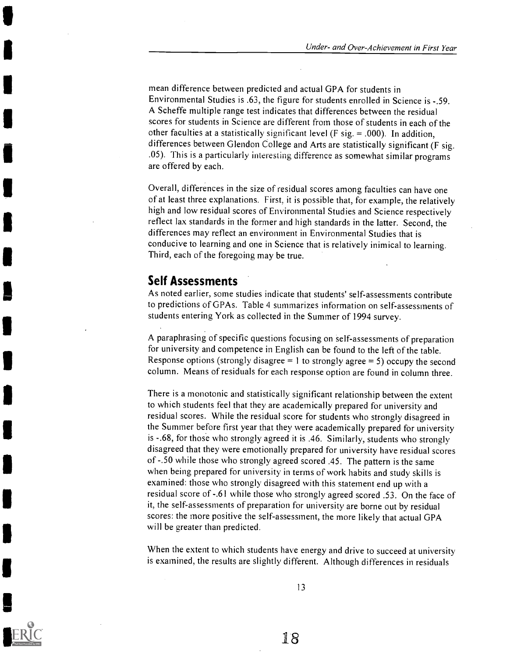mean difference between predicted and actual GPA for students in Environmental Studies is .63, the figure for students enrolled in Science is -.59. A Scheffe multiple range test indicates that differences between the residual scores for students in Science are different from those of students in each of the other faculties at a statistically significant level ( $F$  sig. = .000). In addition, differences between Glendon College and Arts are statistically significant (F sig. .05). This is a particularly interesting difference as somewhat similar programs are offered by each.

Overall, differences in the size of residual scores among faculties can have one of at least three explanations. First, it is possible that, for example, the relatively high and low residual scores of Environmental Studies and Science respectively reflect lax standards in the former and high standards in the latter. Second, the differences may reflect an environment in Environmental Studies that is conducive to learning and one in Science that is relatively inimical to learning. Third, each of the foregoing may be true.

### Self Assessments

As noted earlier, some studies indicate that students' self-assessments contribute to predictions of GPAs. Table 4 summarizes information on self-assessments of students entering York as collected in the Summer of 1994 survey.

A paraphrasing of specific questions focusing on self- assessments of preparation for university and competence in English can be found to the left of the table. Response options (strongly disagree = 1 to strongly agree = 5) occupy the second column. Means of residuals for each response option are found in column three.

There is a monotonic and statistically significant relationship between the extent to which students feel that they are academically prepared for university and residual scores. While the residual score for students who strongly disagreed in the Summer before first year that they were academically prepared for university is -.68, for those who strongly agreed it is .46. Similarly, students who strongly disagreed that they were emotionally prepared for university have residual scores of -.50 while those who strongly agreed scored .45. The pattern is the same when being prepared for university in terms of work habits and study skills is examined: those who strongly disagreed with this statement end up with a residual score of -.61 while those who strongly agreed scored .53. On the face of it, the self-assessments of preparation for university are borne out by residual scores: the more positive the self-assessment, the more likely that actual GPA will be greater than predicted.

When the extent to which students have energy and drive to succeed at university is examined, the results are slightly different. Although differences in residuals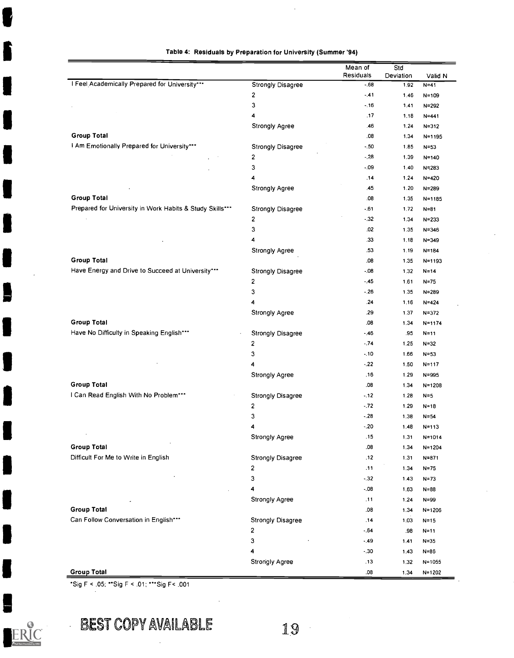|  | Table 4: Residuals by Preparation for University (Summer '94) |  |  |  |  |
|--|---------------------------------------------------------------|--|--|--|--|
|--|---------------------------------------------------------------|--|--|--|--|

| I Feel Academically Prepared for University***<br>Strongly Disagree<br>$-.68$<br>1.92<br>$N = 41$<br>2<br>$-.41$<br>1.46<br>3<br>$-.16$<br>1.41<br>4<br>.17<br>1.18<br><b>Strongly Agree</b><br>.46<br>1.24<br><b>Group Total</b><br>.08<br>1.34<br>I Am Emotionally Prepared for University***<br>Strongly Disagree<br>$-50$<br>1.85<br>2<br>$-.28$<br>1.39<br>3<br>$-09$<br>1.40<br>4<br>.14<br>1.24<br>Strongly Agree<br>.45<br>1.20<br><b>Group Total</b><br>.08<br>1.35<br>Prepared for University in Work Habits & Study Skills***<br>$-61$<br>Strongly Disagree<br>1.72<br>2<br>$-32$<br>1.34<br>3<br>.02<br>1.35<br>4<br>.33<br>1.18<br><b>Strongly Agree</b><br>.53<br>1.19<br><b>Group Total</b><br>.08<br>1.35<br>Have Energy and Drive to Succeed at University***<br>$-08$<br><b>Strongly Disagree</b><br>1.32<br>2<br>$-45$<br>1.61<br>3<br>$-.26$<br>1.35<br>4<br>.24<br>1.16<br>Strongly Agree<br>.29<br>1.37<br><b>Group Total</b><br>.08<br>1.34<br>Have No Difficulty in Speaking English***<br>Strongly Disagree<br>$-46$<br>.95<br>2<br>$-74$<br>1.25<br>3<br>$-.10$<br>1.66<br>4<br>$-.22$<br>1.50<br>.16<br><b>Strongly Agree</b><br>1.29<br><b>Group Total</b><br>.08<br>1.34<br>I Can Read English With No Problem***<br><b>Strongly Disagree</b><br>$-12$<br>1.28<br>$\overline{\mathbf{c}}$<br>$-72$<br>1.29<br>3<br>$-28$<br>1.38<br>4<br>$-.20$<br>1.48<br>.15<br><b>Strongly Agree</b><br>1.31<br><b>Group Total</b><br>.08<br>1 34<br>Difficult For Me to Write in English<br>12<br><b>Strongly Disagree</b><br>1.31<br>2<br>.11<br>1.34<br>3<br>$-32$<br>1.43<br>4<br>$-.08$<br>1.63<br>Strongly Agree<br>.11<br>1.24<br><b>Group Total</b><br>.08<br>1.34<br>Can Follow Conversation in English***<br><b>Strongly Disagree</b><br>.14<br>1.03 |  | Mean of   | Std       |                          |
|--------------------------------------------------------------------------------------------------------------------------------------------------------------------------------------------------------------------------------------------------------------------------------------------------------------------------------------------------------------------------------------------------------------------------------------------------------------------------------------------------------------------------------------------------------------------------------------------------------------------------------------------------------------------------------------------------------------------------------------------------------------------------------------------------------------------------------------------------------------------------------------------------------------------------------------------------------------------------------------------------------------------------------------------------------------------------------------------------------------------------------------------------------------------------------------------------------------------------------------------------------------------------------------------------------------------------------------------------------------------------------------------------------------------------------------------------------------------------------------------------------------------------------------------------------------------------------------------------------------------------------------------------------------------------------------------------------------------------------------------------------------------------------|--|-----------|-----------|--------------------------|
|                                                                                                                                                                                                                                                                                                                                                                                                                                                                                                                                                                                                                                                                                                                                                                                                                                                                                                                                                                                                                                                                                                                                                                                                                                                                                                                                                                                                                                                                                                                                                                                                                                                                                                                                                                                |  | Residuals | Deviation | Valid N                  |
|                                                                                                                                                                                                                                                                                                                                                                                                                                                                                                                                                                                                                                                                                                                                                                                                                                                                                                                                                                                                                                                                                                                                                                                                                                                                                                                                                                                                                                                                                                                                                                                                                                                                                                                                                                                |  |           |           |                          |
|                                                                                                                                                                                                                                                                                                                                                                                                                                                                                                                                                                                                                                                                                                                                                                                                                                                                                                                                                                                                                                                                                                                                                                                                                                                                                                                                                                                                                                                                                                                                                                                                                                                                                                                                                                                |  |           |           | $N = 109$                |
|                                                                                                                                                                                                                                                                                                                                                                                                                                                                                                                                                                                                                                                                                                                                                                                                                                                                                                                                                                                                                                                                                                                                                                                                                                                                                                                                                                                                                                                                                                                                                                                                                                                                                                                                                                                |  |           |           | $N = 292$                |
|                                                                                                                                                                                                                                                                                                                                                                                                                                                                                                                                                                                                                                                                                                                                                                                                                                                                                                                                                                                                                                                                                                                                                                                                                                                                                                                                                                                                                                                                                                                                                                                                                                                                                                                                                                                |  |           |           | N=441                    |
|                                                                                                                                                                                                                                                                                                                                                                                                                                                                                                                                                                                                                                                                                                                                                                                                                                                                                                                                                                                                                                                                                                                                                                                                                                                                                                                                                                                                                                                                                                                                                                                                                                                                                                                                                                                |  |           |           | $N = 312$                |
|                                                                                                                                                                                                                                                                                                                                                                                                                                                                                                                                                                                                                                                                                                                                                                                                                                                                                                                                                                                                                                                                                                                                                                                                                                                                                                                                                                                                                                                                                                                                                                                                                                                                                                                                                                                |  |           |           | N=1195                   |
|                                                                                                                                                                                                                                                                                                                                                                                                                                                                                                                                                                                                                                                                                                                                                                                                                                                                                                                                                                                                                                                                                                                                                                                                                                                                                                                                                                                                                                                                                                                                                                                                                                                                                                                                                                                |  |           |           | $N = 53$                 |
|                                                                                                                                                                                                                                                                                                                                                                                                                                                                                                                                                                                                                                                                                                                                                                                                                                                                                                                                                                                                                                                                                                                                                                                                                                                                                                                                                                                                                                                                                                                                                                                                                                                                                                                                                                                |  |           |           | $N = 140$                |
|                                                                                                                                                                                                                                                                                                                                                                                                                                                                                                                                                                                                                                                                                                                                                                                                                                                                                                                                                                                                                                                                                                                                                                                                                                                                                                                                                                                                                                                                                                                                                                                                                                                                                                                                                                                |  |           |           | N=283                    |
|                                                                                                                                                                                                                                                                                                                                                                                                                                                                                                                                                                                                                                                                                                                                                                                                                                                                                                                                                                                                                                                                                                                                                                                                                                                                                                                                                                                                                                                                                                                                                                                                                                                                                                                                                                                |  |           |           | N=420                    |
|                                                                                                                                                                                                                                                                                                                                                                                                                                                                                                                                                                                                                                                                                                                                                                                                                                                                                                                                                                                                                                                                                                                                                                                                                                                                                                                                                                                                                                                                                                                                                                                                                                                                                                                                                                                |  |           |           | $N = 289$                |
|                                                                                                                                                                                                                                                                                                                                                                                                                                                                                                                                                                                                                                                                                                                                                                                                                                                                                                                                                                                                                                                                                                                                                                                                                                                                                                                                                                                                                                                                                                                                                                                                                                                                                                                                                                                |  |           |           | $N = 1185$               |
|                                                                                                                                                                                                                                                                                                                                                                                                                                                                                                                                                                                                                                                                                                                                                                                                                                                                                                                                                                                                                                                                                                                                                                                                                                                                                                                                                                                                                                                                                                                                                                                                                                                                                                                                                                                |  |           |           | $N = 81$                 |
|                                                                                                                                                                                                                                                                                                                                                                                                                                                                                                                                                                                                                                                                                                                                                                                                                                                                                                                                                                                                                                                                                                                                                                                                                                                                                                                                                                                                                                                                                                                                                                                                                                                                                                                                                                                |  |           |           | $N = 233$                |
|                                                                                                                                                                                                                                                                                                                                                                                                                                                                                                                                                                                                                                                                                                                                                                                                                                                                                                                                                                                                                                                                                                                                                                                                                                                                                                                                                                                                                                                                                                                                                                                                                                                                                                                                                                                |  |           |           | $N = 346$                |
|                                                                                                                                                                                                                                                                                                                                                                                                                                                                                                                                                                                                                                                                                                                                                                                                                                                                                                                                                                                                                                                                                                                                                                                                                                                                                                                                                                                                                                                                                                                                                                                                                                                                                                                                                                                |  |           |           | $N = 349$                |
|                                                                                                                                                                                                                                                                                                                                                                                                                                                                                                                                                                                                                                                                                                                                                                                                                                                                                                                                                                                                                                                                                                                                                                                                                                                                                                                                                                                                                                                                                                                                                                                                                                                                                                                                                                                |  |           |           | $N = 184$                |
|                                                                                                                                                                                                                                                                                                                                                                                                                                                                                                                                                                                                                                                                                                                                                                                                                                                                                                                                                                                                                                                                                                                                                                                                                                                                                                                                                                                                                                                                                                                                                                                                                                                                                                                                                                                |  |           |           | $N = 1193$               |
|                                                                                                                                                                                                                                                                                                                                                                                                                                                                                                                                                                                                                                                                                                                                                                                                                                                                                                                                                                                                                                                                                                                                                                                                                                                                                                                                                                                                                                                                                                                                                                                                                                                                                                                                                                                |  |           |           | $N = 14$                 |
|                                                                                                                                                                                                                                                                                                                                                                                                                                                                                                                                                                                                                                                                                                                                                                                                                                                                                                                                                                                                                                                                                                                                                                                                                                                                                                                                                                                                                                                                                                                                                                                                                                                                                                                                                                                |  |           |           | $N = 75$                 |
|                                                                                                                                                                                                                                                                                                                                                                                                                                                                                                                                                                                                                                                                                                                                                                                                                                                                                                                                                                                                                                                                                                                                                                                                                                                                                                                                                                                                                                                                                                                                                                                                                                                                                                                                                                                |  |           |           | $N = 289$                |
|                                                                                                                                                                                                                                                                                                                                                                                                                                                                                                                                                                                                                                                                                                                                                                                                                                                                                                                                                                                                                                                                                                                                                                                                                                                                                                                                                                                                                                                                                                                                                                                                                                                                                                                                                                                |  |           |           | $N = 424$                |
|                                                                                                                                                                                                                                                                                                                                                                                                                                                                                                                                                                                                                                                                                                                                                                                                                                                                                                                                                                                                                                                                                                                                                                                                                                                                                                                                                                                                                                                                                                                                                                                                                                                                                                                                                                                |  |           |           | $N = 372$                |
|                                                                                                                                                                                                                                                                                                                                                                                                                                                                                                                                                                                                                                                                                                                                                                                                                                                                                                                                                                                                                                                                                                                                                                                                                                                                                                                                                                                                                                                                                                                                                                                                                                                                                                                                                                                |  |           |           | $N = 1174$               |
|                                                                                                                                                                                                                                                                                                                                                                                                                                                                                                                                                                                                                                                                                                                                                                                                                                                                                                                                                                                                                                                                                                                                                                                                                                                                                                                                                                                                                                                                                                                                                                                                                                                                                                                                                                                |  |           |           | $N = 11$                 |
|                                                                                                                                                                                                                                                                                                                                                                                                                                                                                                                                                                                                                                                                                                                                                                                                                                                                                                                                                                                                                                                                                                                                                                                                                                                                                                                                                                                                                                                                                                                                                                                                                                                                                                                                                                                |  |           |           | $N = 32$                 |
|                                                                                                                                                                                                                                                                                                                                                                                                                                                                                                                                                                                                                                                                                                                                                                                                                                                                                                                                                                                                                                                                                                                                                                                                                                                                                                                                                                                                                                                                                                                                                                                                                                                                                                                                                                                |  |           |           | $N = 53$                 |
|                                                                                                                                                                                                                                                                                                                                                                                                                                                                                                                                                                                                                                                                                                                                                                                                                                                                                                                                                                                                                                                                                                                                                                                                                                                                                                                                                                                                                                                                                                                                                                                                                                                                                                                                                                                |  |           |           | $N = 117$                |
|                                                                                                                                                                                                                                                                                                                                                                                                                                                                                                                                                                                                                                                                                                                                                                                                                                                                                                                                                                                                                                                                                                                                                                                                                                                                                                                                                                                                                                                                                                                                                                                                                                                                                                                                                                                |  |           |           | $N = 995$                |
|                                                                                                                                                                                                                                                                                                                                                                                                                                                                                                                                                                                                                                                                                                                                                                                                                                                                                                                                                                                                                                                                                                                                                                                                                                                                                                                                                                                                                                                                                                                                                                                                                                                                                                                                                                                |  |           |           | $N = 1208$               |
|                                                                                                                                                                                                                                                                                                                                                                                                                                                                                                                                                                                                                                                                                                                                                                                                                                                                                                                                                                                                                                                                                                                                                                                                                                                                                                                                                                                                                                                                                                                                                                                                                                                                                                                                                                                |  |           |           | $N = 5$                  |
|                                                                                                                                                                                                                                                                                                                                                                                                                                                                                                                                                                                                                                                                                                                                                                                                                                                                                                                                                                                                                                                                                                                                                                                                                                                                                                                                                                                                                                                                                                                                                                                                                                                                                                                                                                                |  |           |           | $N = 18$                 |
|                                                                                                                                                                                                                                                                                                                                                                                                                                                                                                                                                                                                                                                                                                                                                                                                                                                                                                                                                                                                                                                                                                                                                                                                                                                                                                                                                                                                                                                                                                                                                                                                                                                                                                                                                                                |  |           |           | $N = 54$                 |
|                                                                                                                                                                                                                                                                                                                                                                                                                                                                                                                                                                                                                                                                                                                                                                                                                                                                                                                                                                                                                                                                                                                                                                                                                                                                                                                                                                                                                                                                                                                                                                                                                                                                                                                                                                                |  |           |           | $N = 113$                |
|                                                                                                                                                                                                                                                                                                                                                                                                                                                                                                                                                                                                                                                                                                                                                                                                                                                                                                                                                                                                                                                                                                                                                                                                                                                                                                                                                                                                                                                                                                                                                                                                                                                                                                                                                                                |  |           |           | N=1014                   |
|                                                                                                                                                                                                                                                                                                                                                                                                                                                                                                                                                                                                                                                                                                                                                                                                                                                                                                                                                                                                                                                                                                                                                                                                                                                                                                                                                                                                                                                                                                                                                                                                                                                                                                                                                                                |  |           |           | $N = 1204$               |
|                                                                                                                                                                                                                                                                                                                                                                                                                                                                                                                                                                                                                                                                                                                                                                                                                                                                                                                                                                                                                                                                                                                                                                                                                                                                                                                                                                                                                                                                                                                                                                                                                                                                                                                                                                                |  |           |           | $N = 871$                |
|                                                                                                                                                                                                                                                                                                                                                                                                                                                                                                                                                                                                                                                                                                                                                                                                                                                                                                                                                                                                                                                                                                                                                                                                                                                                                                                                                                                                                                                                                                                                                                                                                                                                                                                                                                                |  |           |           | $N = 75$                 |
|                                                                                                                                                                                                                                                                                                                                                                                                                                                                                                                                                                                                                                                                                                                                                                                                                                                                                                                                                                                                                                                                                                                                                                                                                                                                                                                                                                                                                                                                                                                                                                                                                                                                                                                                                                                |  |           |           | $N = 73$                 |
|                                                                                                                                                                                                                                                                                                                                                                                                                                                                                                                                                                                                                                                                                                                                                                                                                                                                                                                                                                                                                                                                                                                                                                                                                                                                                                                                                                                                                                                                                                                                                                                                                                                                                                                                                                                |  |           |           | $N = 88$                 |
|                                                                                                                                                                                                                                                                                                                                                                                                                                                                                                                                                                                                                                                                                                                                                                                                                                                                                                                                                                                                                                                                                                                                                                                                                                                                                                                                                                                                                                                                                                                                                                                                                                                                                                                                                                                |  |           |           | $N = 99$                 |
|                                                                                                                                                                                                                                                                                                                                                                                                                                                                                                                                                                                                                                                                                                                                                                                                                                                                                                                                                                                                                                                                                                                                                                                                                                                                                                                                                                                                                                                                                                                                                                                                                                                                                                                                                                                |  |           |           |                          |
|                                                                                                                                                                                                                                                                                                                                                                                                                                                                                                                                                                                                                                                                                                                                                                                                                                                                                                                                                                                                                                                                                                                                                                                                                                                                                                                                                                                                                                                                                                                                                                                                                                                                                                                                                                                |  |           |           | $N = 1206$               |
|                                                                                                                                                                                                                                                                                                                                                                                                                                                                                                                                                                                                                                                                                                                                                                                                                                                                                                                                                                                                                                                                                                                                                                                                                                                                                                                                                                                                                                                                                                                                                                                                                                                                                                                                                                                |  |           |           | $N = 15$                 |
| 2<br>$-.64$<br>.98                                                                                                                                                                                                                                                                                                                                                                                                                                                                                                                                                                                                                                                                                                                                                                                                                                                                                                                                                                                                                                                                                                                                                                                                                                                                                                                                                                                                                                                                                                                                                                                                                                                                                                                                                             |  |           |           | $N = 11$                 |
| 3<br>$-49$<br>141                                                                                                                                                                                                                                                                                                                                                                                                                                                                                                                                                                                                                                                                                                                                                                                                                                                                                                                                                                                                                                                                                                                                                                                                                                                                                                                                                                                                                                                                                                                                                                                                                                                                                                                                                              |  |           |           | $N = 35$                 |
| 4<br>$-30$<br>1.43                                                                                                                                                                                                                                                                                                                                                                                                                                                                                                                                                                                                                                                                                                                                                                                                                                                                                                                                                                                                                                                                                                                                                                                                                                                                                                                                                                                                                                                                                                                                                                                                                                                                                                                                                             |  |           |           | $N = 86$                 |
| Strongly Agree<br>.13<br>1.32<br><b>Group Total</b><br>.08<br>1.34                                                                                                                                                                                                                                                                                                                                                                                                                                                                                                                                                                                                                                                                                                                                                                                                                                                                                                                                                                                                                                                                                                                                                                                                                                                                                                                                                                                                                                                                                                                                                                                                                                                                                                             |  |           |           | $N = 1055$<br>$N = 1202$ |

\*Sig F < .05; \*\*Sig F < .01; \*\*\*Sig F< .001

ERIC

B

6

I

1

I

I

j

I

J

J

I

J

I

I

ļ

I

# BEST COPY AVAILABLE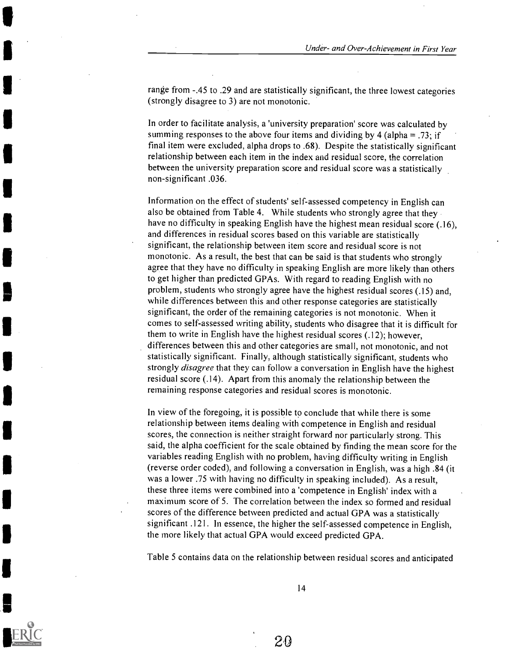range from -.45 to .29 and are statistically significant, the three lowest categories (strongly disagree to 3) are not monotonic.

In order to facilitate analysis, a 'university preparation' score was calculated by summing responses to the above four items and dividing by 4 (alpha = .73; if final item were excluded, alpha drops to .68). Despite the statistically significant relationship between each item in the index and residual score, the correlation between the university preparation score and residual score was a statistically non-significant .036.

Information on the effect of students' self-assessed competency in English can also be obtained from Table 4. While students who strongly agree that they have no difficulty in speaking English have the highest mean residual score (.16), and differences in residual scores based on this variable are statistically significant, the relationship between item score and residual score is not monotonic. As a result, the best that can be said is that students who strongly agree that they have no difficulty in speaking English are more likely than others to get higher than predicted GPAs. With regard to reading English with no problem, students who strongly agree have the highest residual scores (.15) and, while differences between this and other response categories are statistically significant, the order of the remaining categories is not monotonic. When it comes to self-assessed writing ability, students who disagree that it is difficult for them to write in English have the highest residual scores (.12); however, differences between this and other categories are small, not monotonic, and not statistically significant. Finally, although statistically significant, students who strongly *disagree* that they can follow a conversation in English have the highest residual score (.14). Apart from this anomaly the relationship between the remaining response categories and residual scores is monotonic.

In view of the foregoing, it is possible to conclude that while there is some relationship between items dealing with competence in English and residual scores, the connection is neither straight forward nor particularly strong. This said, the alpha coefficient for the scale obtained by finding the mean score for the variables reading English with no problem, having difficulty writing in English (reverse order coded), and following a conversation in English, was a high .84 (it was a lower .75 with having no difficulty in speaking included). As a result, these three items were combined into a 'competence in English' index with a maximum score of 5. The correlation between the index so formed and residual scores of the difference between predicted and actual GPA was a statistically significant .121. In essence, the higher the self-assessed competence in English, the more likely that actual GPA would exceed predicted GPA.

Table 5 contains data on the relationship between residual scores and anticipated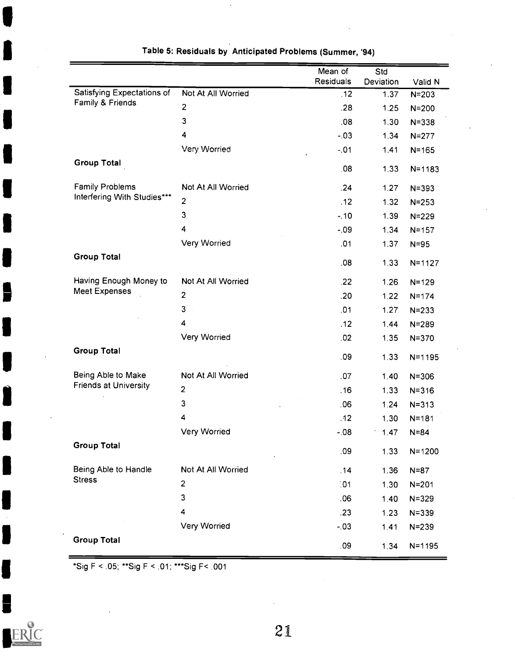|                              |                         | Mean of<br>Residuals | Std<br>Deviation | Valid N    |
|------------------------------|-------------------------|----------------------|------------------|------------|
| Satisfying Expectations of   | Not At All Worried      | .12                  | 1.37             | $N = 203$  |
| Family & Friends             | $\overline{2}$          | .28                  | 1.25             | $N = 200$  |
|                              | 3                       | .08                  | 1.30             | $N = 338$  |
|                              | 4                       | $-.03$               | 1.34             | $N = 277$  |
|                              | Very Worried            | $-.01$               | 1.41             | $N = 165$  |
| <b>Group Total</b>           |                         | .08                  | 1.33             | $N = 1183$ |
| <b>Family Problems</b>       | Not At All Worried      | .24                  | 1.27             | $N = 393$  |
| Interfering With Studies***  | $\mathbf{2}$            | .12                  | 1.32             | $N = 253$  |
|                              | 3                       | $-10$                | 1.39             | $N = 229$  |
|                              | 4                       | $-0.09$              | 1.34             | $N = 157$  |
|                              | Very Worried            | .01                  | 1.37             | $N = 95$   |
| <b>Group Total</b>           |                         | .08                  | 1.33             | $N = 1127$ |
| Having Enough Money to       | Not At All Worried      | .22                  | 1.26             | $N = 129$  |
| <b>Meet Expenses</b>         | $\overline{2}$          | .20                  | 1.22             | $N = 174$  |
|                              | 3                       | .01                  | 1.27             | $N = 233$  |
|                              | $\overline{\mathbf{4}}$ | .12                  | 1.44             | $N = 289$  |
|                              | Very Worried            | 02                   | 1.35             | $N = 370$  |
| <b>Group Total</b>           |                         | .09                  | 1.33             | $N = 1195$ |
| Being Able to Make           | Not At All Worried      | .07                  | 1.40             | $N = 306$  |
| <b>Friends at University</b> | $\overline{2}$          | .16                  | 1.33             | $N = 316$  |
|                              | 3                       | .06                  | 1.24             | $N = 313$  |
|                              | 4                       | .12                  | 1.30             | $N = 181$  |
|                              | Very Worried            | $-08$                | 1.47             | $N = 84$   |
| <b>Group Total</b>           |                         | .09                  | 1.33             | $N = 1200$ |
| Being Able to Handle         | Not At All Worried      | .14                  | 1.36             | $N = 87$   |
| <b>Stress</b>                | $\overline{\mathbf{c}}$ | .01                  | 1.30             | $N = 201$  |
|                              | 3                       | .06                  | 1.40             | $N = 329$  |
|                              | 4                       | .23                  | 123              | $N = 339$  |
|                              | Very Worried            | $-03$                | 1.41             | $N = 239$  |
| <b>Group Total</b>           |                         | .09                  | 1.34             | $N = 1195$ |

### Table 5: Residuals by Anticipated Problems (Summer, '94)

\*Sig F < .05; \*\*Sig F < .01; \*\*\*Sig F< .001

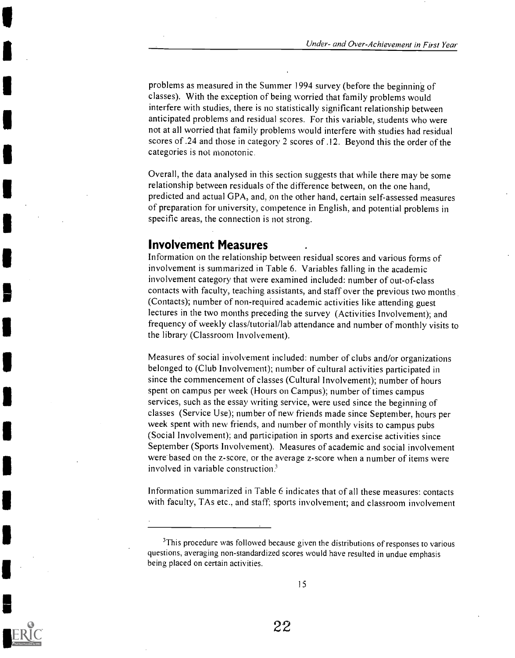problems as measured in the Summer 1994 survey (before the beginning of classes). With the exception of being worried that family problems would interfere with studies, there is no statistically significant relationship between anticipated problems and residual scores. For this variable, students who were not at all worried that family problems would interfere with studies had residual scores of .24 and those in category 2 scores of .12. Beyond this the order of the categories is not monotonic.

Overall, the data analysed in this section suggests that while there may be some relationship between residuals of the difference between, on the one hand, predicted and actual GPA, and, on the other hand, certain self-assessed measures of preparation for university, competence in English, and potential problems in specific areas, the connection is not strong.

#### Involvement Measures

Information on the relationship between residual scores and various forms of involvement is summarized in Table 6. Variables falling in the academic involvement category that were examined included: number of out-of-class contacts with faculty, teaching assistants, and staff over the previous two months (Contacts); number of non-required academic activities like attending guest lectures in the two months preceding the survey (Activities Involvement); and frequency of weekly class/tutorial/lab attendance and number of monthly visits to the library (Classroom Involvement).

Measures of social involvement included: number of clubs and/or organizations belonged to (Club Involvement); number of cultural activities participated in since the commencement of classes (Cultural Involvement); number of hours spent on campus per week (Hours on Campus); number of times campus services, such as the essay writing service, were used since the beginning of classes (Service Use); number of new friends made since September, hours per week spent with new friends, and number of monthly visits to campus pubs (Social Involvement); and participation in sports and exercise activities since September (Sports Involvement). Measures of academic and social involvement were based on the z-score, or the average z-score when a number of items were involved in variable construction?

Information summarized in Table 6 indicates that of all these measures: contacts with faculty, TAs etc., and staff; sports involvement; and classroom involvement



<sup>&</sup>lt;sup>3</sup>This procedure was followed because given the distributions of responses to various questions, averaging non-standardized scores would have resulted in undue emphasis being placed on certain activities.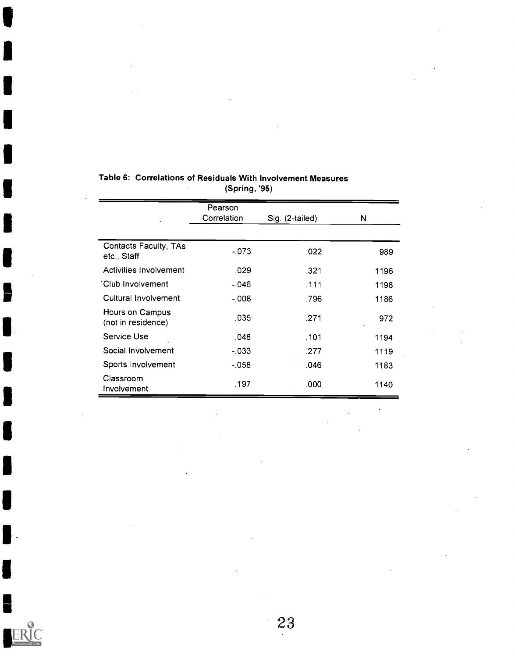|                                       | Pearson     |                 |      |
|---------------------------------------|-------------|-----------------|------|
|                                       | Correlation | Sig. (2-tailed) | N    |
|                                       |             |                 |      |
| Contacts Faculty, TAs<br>etc., Staff  | $-073$      | .022            | 989  |
| Activities Involvement                | .029        | .321            | 1196 |
| 'Club Involvement                     | $-046$      | .111            | 1198 |
| Cultural Involvement                  | $-008$      | .796            | 1186 |
| Hours on Campus<br>(not in residence) | .035        | .271            | 972  |
| Service Use                           | .048        | .101            | 1194 |
| Social Involvement                    | - 033       | .277            | 1119 |
| Sports Involvement                    | $-058$      | .046            | 1183 |
| Classroom<br>Involvement              | .197        | .000            | 1140 |

#### Table 6: Correlations of Residuals With Involvement Measures (Spring, '95)  $\mathbb{R}^2$

F

I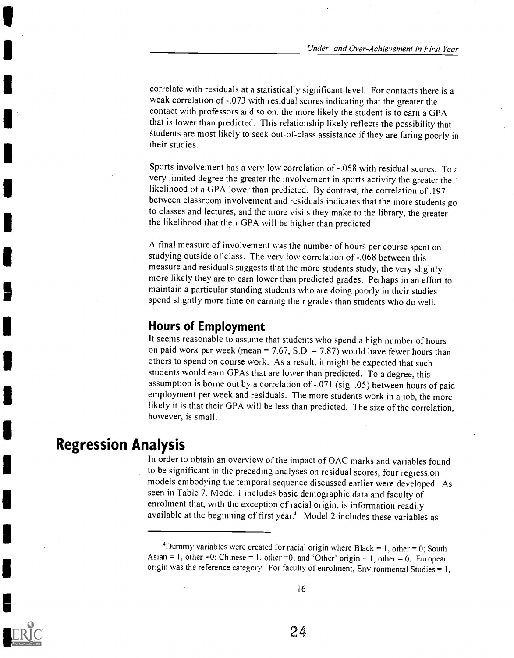correlate with residuals at a statistically significant level. For contacts there is a weak correlation of -.073 with residual scores indicating that the greater the contact with professors and so on, the more likely the student is to earn a GPA that is lower than predicted. This relationship likely reflects the possibility that students are most likely to seek out-of-class assistance if they are faring poorly in their studies.

Sports involvement has a very low correlation of -.058 with residual scores. To a very limited degree the greater the involvement in sports activity the greater the likelihood of a GPA lower than predicted. By Contrast, the correlation of .197 between classroom involvement and residuals indicates that the more students go to classes and lectures, and the more visits they make to the library, the greater the likelihood that their GPA will be higher than predicted.

A final measure of involvement was the number of hours per course spent on studying outside of class. The very low correlation of -.068 between this measure and residuals suggests that the more students study, the very slightly more likely they are to earn lower than predicted grades. Perhaps in an effort to maintain a particular standing students who are doing poorly in their studies spend slightly more time on earning their grades than students who do well.

### Hours of Employment

It seems reasonable to assume that students who spend a high number of hours on paid work per week (mean =  $7.67$ , S.D. =  $7.87$ ) would have fewer hours than others to spend on course work. As a result, it might be expected that such students would earn GPAs that are lower than predicted. To a degree, this assumption is borne out by a correlation of -.071 (sig. .05) between hours of paid employment per week and residuals. The more students work in a job, the more likely it is that their GPA will be less than predicted. The size of the correlation, however, is small.

### Regression Analysis

In order to obtain an overview of the impact of OAC marks and variables found to be significant in the preceding analyses on residual scores, four regression models embodying the temporal sequence discussed earlier were developed. As seen in Table 7, Model 1 includes basic demographic data and faculty of enrolment that, with the exception of racial origin, is information readily available at the beginning of first year.<sup>4</sup> Model 2 includes these variables as

<sup>&</sup>lt;sup>4</sup>Dummy variables were created for racial origin where Black = 1, other = 0; South Asian = 1, other =0; Chinese = 1, other =0; and 'Other' origin = 1, other = 0. European origin was the reference category. For faculty of enrolment, Environmental Studies =  $1$ ,



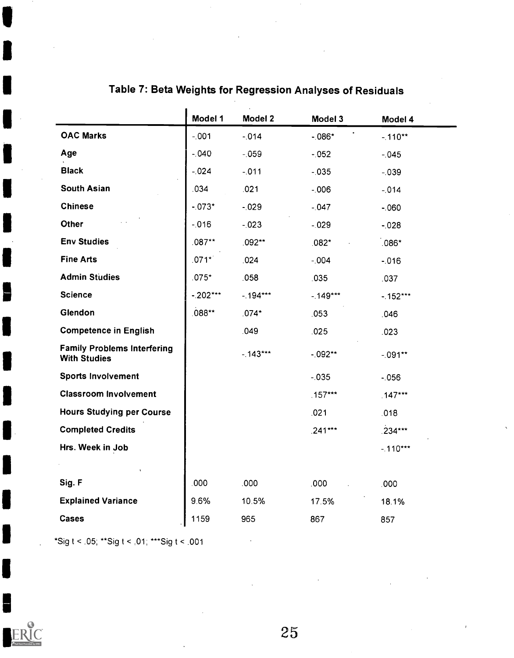|                                                           | Model 1   | Model 2   | Model 3   | Model 4        |
|-----------------------------------------------------------|-----------|-----------|-----------|----------------|
| <b>OAC Marks</b>                                          | $-.001$   | $-014$    | $-086*$   | $-110**$       |
| Age                                                       | $-040$    | $-059$    | $-052$    | $-.045$        |
| <b>Black</b>                                              | $-024$    | $-011$    | $-035$    | $-.039$        |
| <b>South Asian</b>                                        | 034       | .021      | $-0.006$  | $-014$         |
| <b>Chinese</b>                                            | $-073*$   | $-029$    | $-.047$   | $-060$         |
| Other                                                     | $-016$    | $-.023$   | $-.029$   | $-0.028$       |
| <b>Env Studies</b>                                        | $.087**$  | .092**    | $.082*$   | $\degree$ 086* |
| <b>Fine Arts</b>                                          | $.071*$   | .024      | $-004$    | $-016$         |
| <b>Admin Studies</b>                                      | $.075*$   | .058      | .035      | .037           |
| <b>Science</b>                                            | $-202***$ | $-194***$ | $-149***$ | $-152***$      |
| Glendon                                                   | .088**    | $.074*$   | .053      | .046           |
| <b>Competence in English</b>                              |           | .049      | .025      | .023           |
| <b>Family Problems Interfering</b><br><b>With Studies</b> |           | $-143***$ | $-092**$  | $-0.91**$      |
| <b>Sports Involvement</b>                                 |           |           | $-0.35$   | $-0.056$       |
| <b>Classroom Involvement</b>                              |           |           | $.157***$ | $.147***$      |
| <b>Hours Studying per Course</b>                          |           |           | .021      | .018           |
| <b>Completed Credits</b>                                  |           |           | $.241***$ | $.234***$      |
| Hrs. Week in Job                                          |           |           |           | $-.110***$     |
|                                                           |           |           |           |                |
| Sig. F                                                    | .000      | .000      | .000      | .000           |
| <b>Explained Variance</b>                                 | 9.6%      | 10.5%     | 17.5%     | 18.1%          |
| <b>Cases</b>                                              | 1159      | 965       | 867       | 857            |
|                                                           |           |           |           |                |

# Table 7: Beta Weights for Regression Analyses of Residuals

\*Sig t < .05; \*\*Sig t < .01; \*\*\*Sig t < .001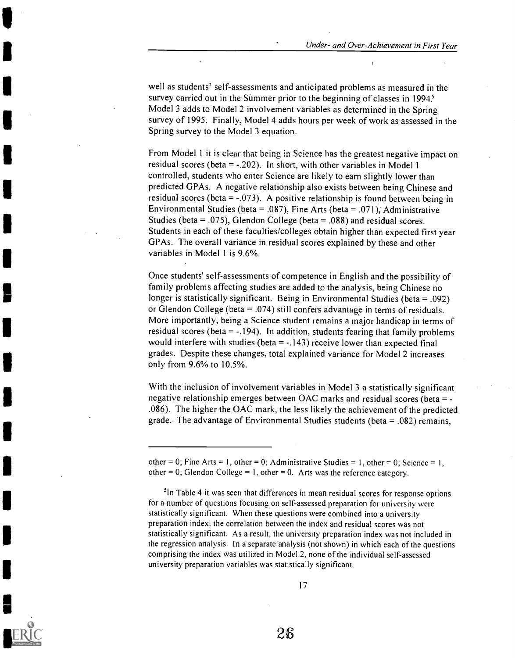well as students' self-assessments and anticipated problems as measured in the survey carried out in the Summer prior to the beginning of classes in 1994? Model 3 adds to Model 2 involvement variables as determined in the Spring survey of 1995. Finally, Model 4 adds hours per week of work as assessed in the Spring survey to the Model 3 equation.

From Model 1 it is clear that being in Science has the greatest negative impact on residual scores (beta  $= -0.202$ ). In short, with other variables in Model 1 controlled, students who enter Science are likely to earn slightly lower than predicted GPAs. A negative relationship also exists between being Chinese and residual scores (beta =  $-.073$ ). A positive relationship is found between being in Environmental Studies (beta = .087), Fine Arts (beta = .071), Administrative Studies (beta = .075), Glendon College (beta = .088) and residual scores. Students in each of these faculties/colleges obtain higher than expected first year GPAs. The overall variance in residual scores explained by these and other variables in Model 1 is 9.6%.

Once students' self-assessments of competence in English and the possibility of family problems affecting studies are added to the analysis, being Chinese no longer is statistically significant. Being in Environmental Studies (beta = .092) or Glendon College (beta = .074) still confers advantage in terms of residuals. More importantly, being a Science student remains a major handicap in terms of residual scores (beta  $= -194$ ). In addition, students fearing that family problems would interfere with studies (beta  $= -.143$ ) receive lower than expected final grades. Despite these changes, total explained variance for Model 2 increases only from 9.6% to 10.5%.

With the inclusion of involvement variables in Model 3 a statistically significant negative relationship emerges between OAC marks and residual scores (beta = - .086). The higher the OAC mark, the less likely the achievement of the predicted grade. The advantage of Environmental Studies students (beta = .082) remains,

<sup>5</sup>In Table 4 it was seen that differences in mean residual scores for response options for a number of questions focusing on self-assessed preparation for university were statistically significant. When these questions were combined into a university preparation index, the correlation between the index and residual scores was not statistically significant. As a result, the university preparation index was not included in the regression analysis. In a separate analysis (not shown) in which each of the questions comprising the index was utilized in Model 2, none of the individual self-assessed university preparation variables was statistically significant.



other = 0; Fine Arts = 1, other = 0; Administrative Studies = 1, other = 0; Science = 1, other = 0; Glendon College = 1, other = 0. Arts was the reference category.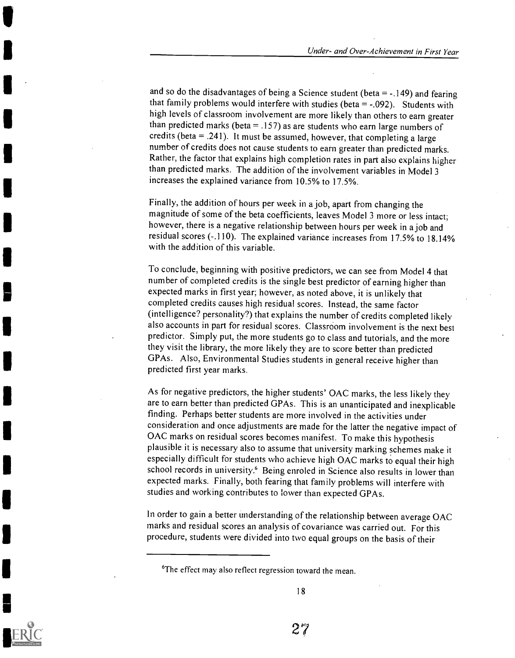and so do the disadvantages of being a Science student (beta  $= -149$ ) and fearing that family problems would interfere with studies (beta  $= -0.092$ ). Students with high levels of classroom involvement are more likely than others to earn greater than predicted marks (beta  $=$  .157) as are students who earn large numbers of credits (beta  $= .241$ ). It must be assumed, however, that completing a large number of credits does not cause students to earn greater than predicted marks. Rather, the factor that explains high completion rates in part also explains higher than predicted marks. The addition of the involvement variables in Model 3 increases the explained variance from 10.5% to 17.5%.

Finally, the addition of hours per week in a job, apart from changing the magnitude of some of the beta coefficients, leaves Model 3 more or less intact; however, there is a negative relationship between hours per week in a job and residual scores (-.110). The explained variance increases from 17.5% to 18.14% with the addition of this variable.

To conclude, beginning with positive predictors, we can see from Model 4 that number of completed credits is the single best predictor of earning higher than expected marks in first year; however, as noted above, it is unlikely that completed credits causes high residual scores. Instead, the same factor (intelligence? personality?) that explains the number of credits completed likely also accounts in part for residual scores. Classroom involvement is the next best predictor. Simply put, the more students go to class and tutorials, and the more they visit the library, the more likely they are to score better than predicted GPAs. Also, Environmental Studies students in general receive higher than predicted first year marks.

As for negative predictors, the higher students' OAC marks, the less likely they are to earn better than predicted GPAs. This is an unanticipated and inexplicable finding. Perhaps better students are more involved in the activities under consideration and once adjustments are made for the latter the negative impact of OAC marks on residual scores becomes manifest. To make this hypothesis plausible it is necessary also to assume that university marking schemes make it especially difficult for students who achieve high OAC marks to equal their high school records in university.<sup>6</sup> Being enroled in Science also results in lower than expected marks. Finally, both fearing that family problems will interfere with studies and working contributes to lower than expected GPAs.

In order to gain a better understanding of the relationship between average OAC marks and residual scores an analysis of covariance was carried out. For this procedure, students were divided into two equal groups on the basis of their



<sup>&</sup>lt;sup>6</sup>The effect may also reflect regression toward the mean.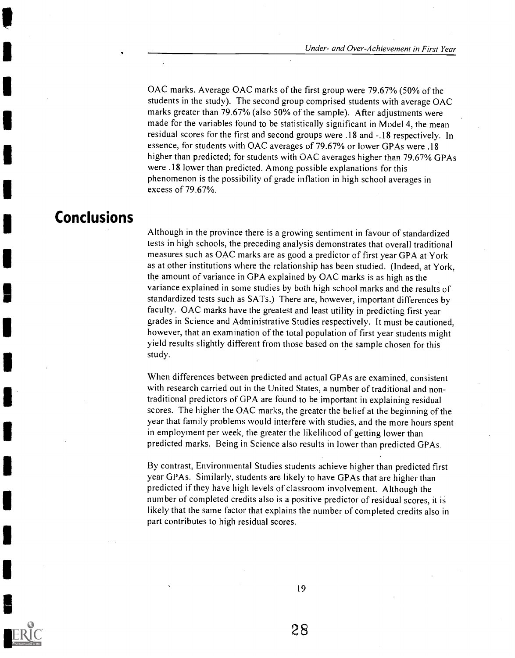OAC marks. Average OAC marks of the first group were 79.67% (50% of the students in the study). The second group comprised students with average OAC marks greater than 79.67% (also 50% of the sample). After adjustments were made for the variables found to be statistically significant in Model 4, the mean residual scores for the first and second groups were .18 and -.18 respectively. In essence, for students with OAC averages of 79.67% or lower GPAs were .18 higher than predicted; for students with OAC averages higher than 79.67% GPAs were .18 lower than predicted. Among possible explanations for this phenomenon is the possibility of grade inflation in high school averages in excess of 79.67%.

# **Conclusions**

Although in the province there is a growing sentiment in favour of standardized tests in high schools, the preceding analysis demonstrates that overall traditional measures such as OAC marks are as good a predictor of first year GPA at York as at other institutions where the relationship has been studied. (Indeed, at York, the amount of variance in GPA explained by OAC marks is as high as the variance explained in some studies by both high school marks and the results of standardized tests such as SATs.) There are, however, important differences by faculty. OAC marks have the greatest and least utility in predicting first year grades in Science and Administrative Studies respectively. It must be cautioned, however, that an examination of the total population of first year students might yield results slightly different from those based on the sample chosen for this study.

When differences between predicted and actual GPAs are examined, consistent with research carried out in the United States, a number of traditional and nontraditional predictors of GPA are found to be important in explaining residual scores. The higher the OAC marks, the greater the belief at the beginning of the year that family problems would interfere with studies, and the more hours spent in employment per week, the greater the likelihood of getting lower than predicted marks. Being in Science also results in lower than predicted GPAs.

By contrast, Environmental Studies students achieve higher than predicted first year GPAs. Similarly, students are likely to have GPAs that are higher than predicted if they have high levels of classroom involvement. Although the number of completed credits also is a positive predictor of residual scores, it is likely that the same factor that explains the number of completed credits also in part contributes to high residual scores.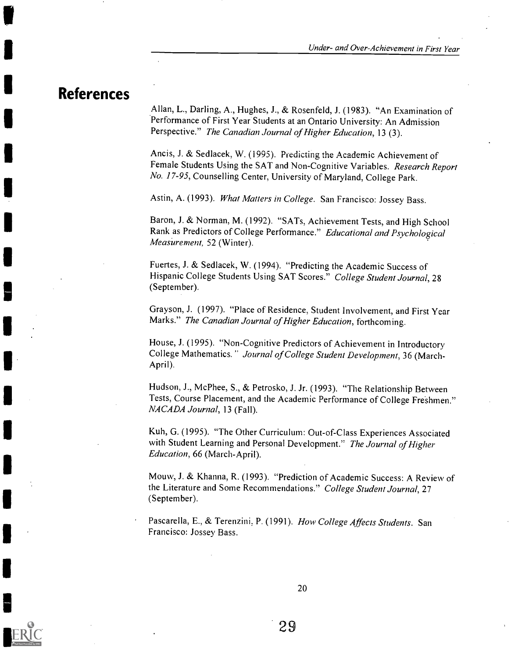### References

Allan, L., Darling, A., Hughes, J., & Rosenfeld, J. (1983). "An Examination of Performance of First Year Students at an Ontario University: An Admission Perspective." The Canadian Journal of Higher Education, 13 (3).

Ancis, J. & Sedlacek, W. (1995). Predicting the Academic Achievement of Female Students Using the SAT and Non-Cognitive Variables. Research Report No. 17-95, Counselling Center, University of Maryland, College Park.

Astin, A. (1993). What Matters in College. San Francisco: Jossey Bass.

Baron, J. & Norman, M. (1992). "SATs, Achievement Tests, and High School Rank as Predictors of College Performance." Educational and Psychological Measurement, 52 (Winter).

Fuertes, J. & Sedlacek, W. (1994). "Predicting the Academic Success of Hispanic College Students Using SAT Scores." College Student Journal, 28 (September).

Grayson, J. (1997). "Place of Residence, Student Involvement, and First Year Marks." The Canadian Journal of Higher Education, forthcoming.

House, J. (1995). "Non-Cognitive Predictors of Achievement in Introductory College Mathematics." Journal of College Student Development, 36 (March-April).

Hudson, J., McPhee, S., & Petrosko, J. Jr. (1993). "The Relationship Between Tests, Course Placement, and the Academic Performance of College Freshmen." NACADA Journal, 13 (Fall).

Kuh, G. (1995). "The Other Curriculum: Out-of-Class Experiences Associated with Student Learning and Personal Development." The Journal of Higher Education, 66 (March-April).

Mouw, J. & Khanna, R. (1993). "Prediction of Academic Success: A Review of the Literature and Some Recommendations." College Student Journal, 27 (September).

Pascarella, E., & Terenzini, P. (1991). How College Affects Students. San Francisco: Jossey Bass.

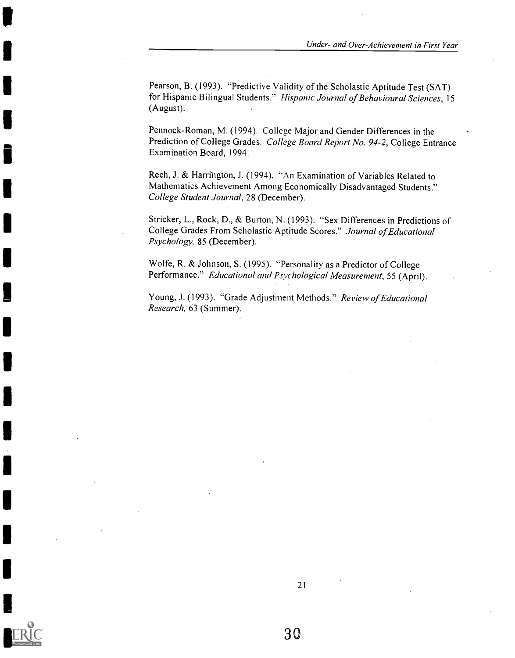Pearson, B. (1993). "Predictive Validity of the Scholastic Aptitude Test (SAT) for Hispanic Bilingual Students." Hispanic Journal of Behavioural Sciences, 15 (August).

Pennock-Roman, M. (1994). College Major and Gender Differences in the Prediction of College Grades. College Board Report No. 94-2, College Entrance Examination Board, 1994.

Rech, J. & Harrington, J. (1994). "An Examination of Variables Related to Mathematics Achievement Among Economically Disadvantaged Students." College Student Journal, 28 (December).

Stricker, L., Rock, D., & Burton, N. (1993). "Sex Differences in Predictions of College Grades From Scholastic Aptitude Scores." Journal of Educational Psychology, 85 (December).

Wolfe, R. & Johnson, S. (1995). "Personality as a Predictor of College Performance." Educational and Psychological Measurement, 55 (April).

Young, J. (1993). "Grade Adjustment Methods." Review of Educational Research, 63 (Summer).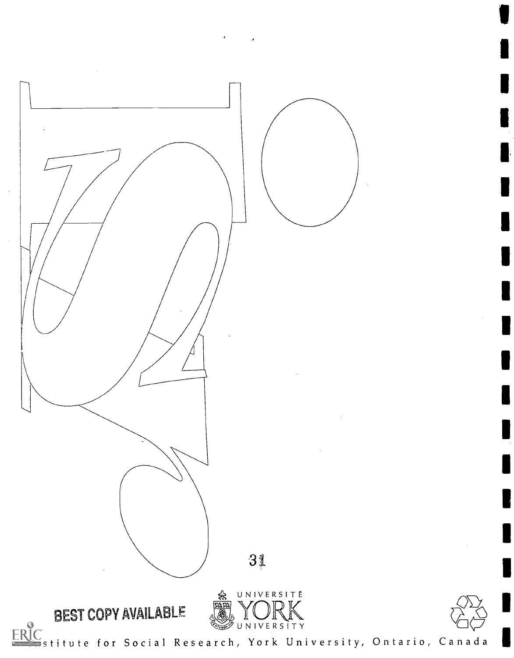

 $\leftrightarrow$   $\rightarrow$   $\rightarrow$ 

<u>I</u>C<br>Stitute for Social Research, York University, Ontario, Canada